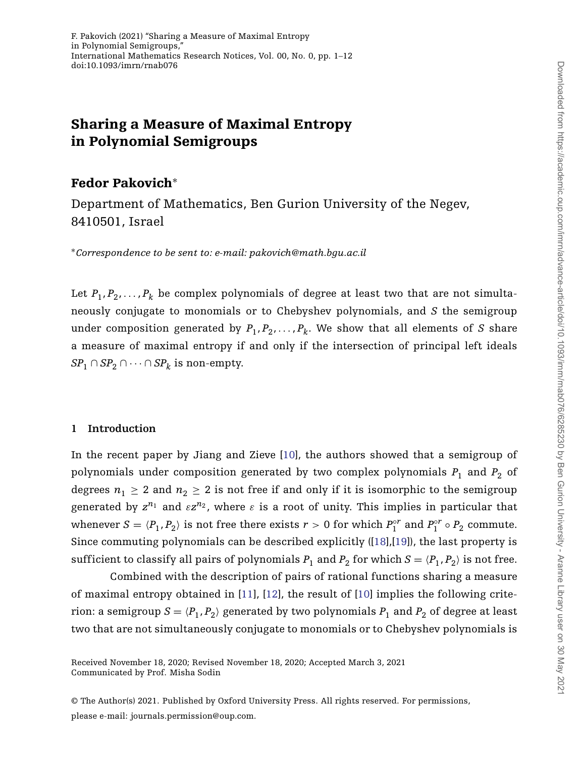# **Sharing a Measure of Maximal Entropy in Polynomial Semigroups**

## **Fedor Pakovich**<sup>∗</sup>

Department of Mathematics, Ben Gurion University of the Negev, 8410501, Israel

<sup>∗</sup>*Correspondence to be sent to: e-mail: pakovich@math.bgu.ac.il*

Let  $P_1, P_2, \ldots, P_k$  be complex polynomials of degree at least two that are not simultaneously conjugate to monomials or to Chebyshev polynomials, and *S* the semigroup under composition generated by  $P_1, P_2, \ldots, P_k$ . We show that all elements of *S* share a measure of maximal entropy if and only if the intersection of principal left ideals *SP*<sub>1</sub> ∩ *SP*<sub>2</sub> ∩ ··· ∩ *SP*<sub>k</sub> is non-empty.

## **1 Introduction**

In the recent paper by Jiang and Zieve [\[10\]](#page-11-0), the authors showed that a semigroup of polynomials under composition generated by two complex polynomials  $P_1$  and  $P_2$  of degrees  $n_1 \geq 2$  and  $n_2 \geq 2$  is not free if and only if it is isomorphic to the semigroup generated by  $z^{n_1}$  and  $\epsilon z^{n_2}$ , where  $\epsilon$  is a root of unity. This implies in particular that whenever  $S = \langle P_1, P_2 \rangle$  is not free there exists  $r > 0$  for which  $P_1^{\circ r}$  and  $P_1^{\circ r} \circ P_2$  commute. Since commuting polynomials can be described explicitly ([\[18\]](#page-11-1),[\[19\]](#page-11-2)), the last property is sufficient to classify all pairs of polynomials  $P_1$  and  $P_2$  for which  $S = \langle P_1, P_2 \rangle$  is not free.

Combined with the description of pairs of rational functions sharing a measure of maximal entropy obtained in [\[11\]](#page-11-3), [\[12\]](#page-11-4), the result of [\[10\]](#page-11-0) implies the following criterion: a semigroup  $S = \langle P_1, P_2 \rangle$  generated by two polynomials  $P_1$  and  $P_2$  of degree at least two that are not simultaneously conjugate to monomials or to Chebyshev polynomials is

Communicated by Prof. Misha Sodin Received November 18, 2020; Revised November 18, 2020; Accepted March 3, 2021

<sup>©</sup> The Author(s) 2021. Published by Oxford University Press. All rights reserved. For permissions,

please e-mail: journals.permission@oup.com.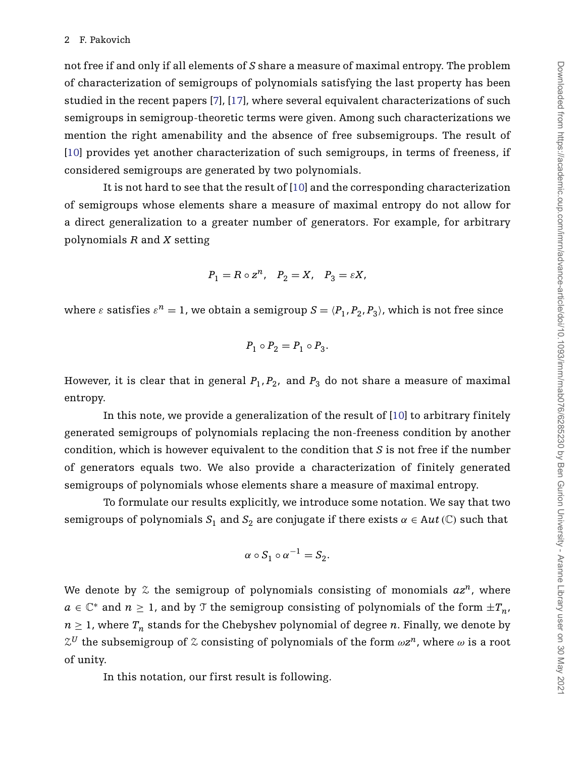not free if and only if all elements of *S* share a measure of maximal entropy. The problem of characterization of semigroups of polynomials satisfying the last property has been studied in the recent papers [\[7\]](#page-11-5), [\[17\]](#page-11-6), where several equivalent characterizations of such semigroups in semigroup-theoretic terms were given. Among such characterizations we mention the right amenability and the absence of free subsemigroups. The result of [\[10\]](#page-11-0) provides yet another characterization of such semigroups, in terms of freeness, if considered semigroups are generated by two polynomials.

It is not hard to see that the result of [\[10\]](#page-11-0) and the corresponding characterization of semigroups whose elements share a measure of maximal entropy do not allow for a direct generalization to a greater number of generators. For example, for arbitrary polynomials *R* and *X* setting

$$
P_1=R\circ z^n, \quad P_2=X, \quad P_3=\varepsilon X,
$$

where  $\varepsilon$  satisfies  $\varepsilon^n = 1$ , we obtain a semigroup  $S = \langle P_1, P_2, P_3 \rangle$ , which is not free since

$$
P_1\circ P_2=P_1\circ P_3.
$$

However, it is clear that in general  $P_1, P_2$ , and  $P_3$  do not share a measure of maximal entropy.

In this note, we provide a generalization of the result of [\[10\]](#page-11-0) to arbitrary finitely generated semigroups of polynomials replacing the non-freeness condition by another condition, which is however equivalent to the condition that *S* is not free if the number of generators equals two. We also provide a characterization of finitely generated semigroups of polynomials whose elements share a measure of maximal entropy.

To formulate our results explicitly, we introduce some notation. We say that two semigroups of polynomials  $S_1$  and  $S_2$  are conjugate if there exists  $\alpha \in Aut(\mathbb{C})$  such that

$$
\alpha \circ S_1 \circ \alpha^{-1} = S_2.
$$

We denote by  $\mathfrak X$  the semigroup of polynomials consisting of monomials  $az^n$ , where *a* ∈  $\mathbb{C}^*$  and *n* ≥ 1, and by  $\mathcal{T}$  the semigroup consisting of polynomials of the form  $\pm T_n$ ,  $n \geq 1$ , where  $T_n$  stands for the Chebyshev polynomial of degree *n*. Finally, we denote by  $\mathcal{Z}^{U}$  the subsemigroup of  $\mathcal{Z}$  consisting of polynomials of the form  $\omega z^{n}$ , where  $\omega$  is a root of unity.

In this notation, our first result is following.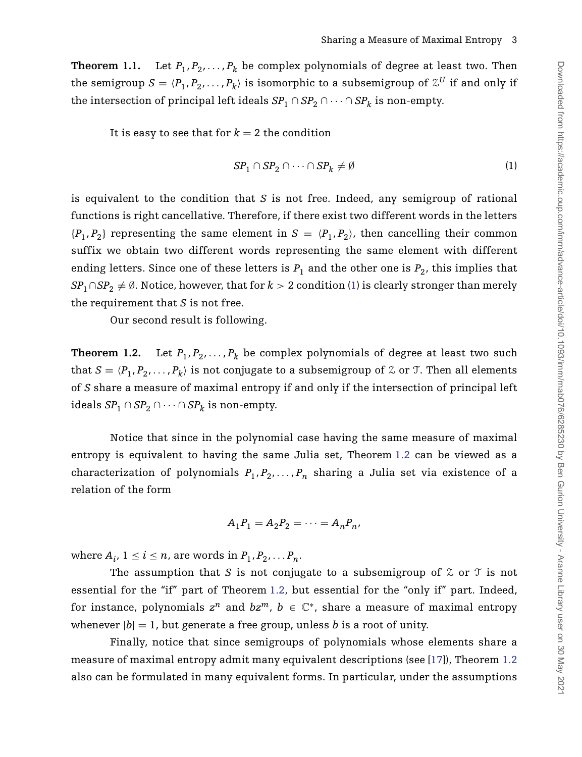<span id="page-2-2"></span>**Theorem 1.1.** Let  $P_1, P_2, \ldots, P_k$  be complex polynomials of degree at least two. Then the semigroup  $S = \langle P_1, P_2, \ldots, P_k \rangle$  is isomorphic to a subsemigroup of  $\mathcal{Z}^U$  if and only if the intersection of principal left ideals  $SP_1 \cap SP_2 \cap \cdots \cap SP_k$  is non-empty.

It is easy to see that for  $k = 2$  the condition

<span id="page-2-0"></span>
$$
SP_1 \cap SP_2 \cap \dots \cap SP_k \neq \emptyset \tag{1}
$$

is equivalent to the condition that *S* is not free. Indeed, any semigroup of rational functions is right cancellative. Therefore, if there exist two different words in the letters  ${P_1, P_2}$  representing the same element in  $S = \langle P_1, P_2 \rangle$ , then cancelling their common suffix we obtain two different words representing the same element with different ending letters. Since one of these letters is  $P_1$  and the other one is  $P_2$ , this implies that *SP*<sub>1</sub> ∩*SP*<sub>2</sub>  $\neq$  Ø. Notice, however, that for  $k > 2$  condition [\(1\)](#page-2-0) is clearly stronger than merely the requirement that *S* is not free.

Our second result is following.

<span id="page-2-1"></span>**Theorem 1.2.** Let  $P_1, P_2, \ldots, P_k$  be complex polynomials of degree at least two such that  $S = \langle P_1, P_2, \ldots, P_k \rangle$  is not conjugate to a subsemigroup of  $\mathcal Z$  or  $\mathcal T$ . Then all elements of *S* share a measure of maximal entropy if and only if the intersection of principal left ideals  $SP_1 ∩ SP_2 ∩ \cdots ∩ SP_k$  is non-empty.

Notice that since in the polynomial case having the same measure of maximal entropy is equivalent to having the same Julia set, Theorem [1.2](#page-2-1) can be viewed as a characterization of polynomials  $P_1, P_2, \ldots, P_n$  sharing a Julia set via existence of a relation of the form

$$
A_1P_1=A_2P_2=\cdots=A_nP_n,
$$

where  $A_i$ ,  $1 \leq i \leq n$ , are words in  $P_1, P_2, \ldots, P_n$ .

The assumption that *S* is not conjugate to a subsemigroup of  $\chi$  or  $\tau$  is not essential for the "if" part of Theorem [1.2,](#page-2-1) but essential for the "only if" part. Indeed, for instance, polynomials  $z^n$  and  $bz^m$ ,  $b \in \mathbb{C}^*$ , share a measure of maximal entropy whenever  $|b| = 1$ , but generate a free group, unless *b* is a root of unity.

Finally, notice that since semigroups of polynomials whose elements share a measure of maximal entropy admit many equivalent descriptions (see [\[17\]](#page-11-6)), Theorem [1.2](#page-2-1) also can be formulated in many equivalent forms. In particular, under the assumptions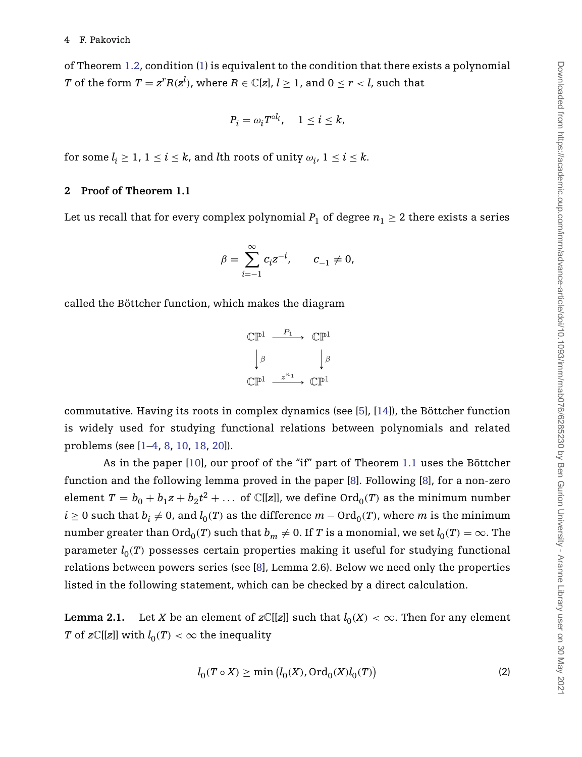of Theorem [1.2,](#page-2-1) condition [\(1\)](#page-2-0) is equivalent to the condition that there exists a polynomial *T* of the form  $T = z^r R(z^l)$ , where  $R \in \mathbb{C}[z]$ ,  $l \geq 1$ , and  $0 \leq r < l$ , such that

$$
P_i = \omega_i T^{\circ l_i}, \quad 1 \le i \le k,
$$

for some  $l_i \geq 1$ ,  $1 \leq i \leq k$ , and *l*th roots of unity  $\omega_i$ ,  $1 \leq i \leq k$ .

## **2 Proof of Theorem 1.1**

Let us recall that for every complex polynomial  $P_1$  of degree  $n_1 \geq 2$  there exists a series

$$
\beta = \sum_{i=-1}^{\infty} c_i z^{-i}, \qquad c_{-1} \neq 0,
$$

called the Böttcher function, which makes the diagram

$$
\begin{array}{ccc}\n\mathbb{CP}^1 & \xrightarrow{P_1} & \mathbb{CP}^1 \\
\downarrow \beta & & \downarrow \beta \\
\mathbb{CP}^1 & \xrightarrow{z^{n_1}} & \mathbb{CP}^1\n\end{array}
$$

commutative. Having its roots in complex dynamics (see [\[5\]](#page-10-0), [\[14\]](#page-11-7)), the Böttcher function is widely used for studying functional relations between polynomials and related problems (see [\[1](#page-10-1)[–4,](#page-10-2) [8,](#page-11-8) [10,](#page-11-0) [18,](#page-11-1) [20\]](#page-11-9)).

As in the paper [\[10\]](#page-11-0), our proof of the "if" part of Theorem [1.1](#page-2-2) uses the Böttcher function and the following lemma proved in the paper [\[8\]](#page-11-8). Following [\[8\]](#page-11-8), for a non-zero element  $T = b_0 + b_1 z + b_2 t^2 + \ldots$  of C[[*z*]], we define Ord<sub>0</sub>(*T*) as the minimum number *i* ≥ 0 such that  $b_i \neq 0$ , and  $l_0(T)$  as the difference  $m - \text{Ord}_0(T)$ , where *m* is the minimum number greater than  $\text{Ord}_0(T)$  such that  $b_m \neq 0$ . If *T* is a monomial, we set  $l_0(T) = \infty$ . The parameter  $l_0(T)$  possesses certain properties making it useful for studying functional relations between powers series (see [\[8\]](#page-11-8), Lemma 2.6). Below we need only the properties listed in the following statement, which can be checked by a direct calculation.

<span id="page-3-0"></span>**Lemma 2.1.** Let *X* be an element of *z* $\mathbb{C}[[z]]$  such that  $l_0(X) < \infty$ . Then for any element *T* of *z* $\mathbb{C}[[z]]$  with  $l_0(T) < \infty$  the inequality

<span id="page-3-1"></span>
$$
l_0(T \circ X) \ge \min\left(l_0(X), \operatorname{Ord}_0(X)l_0(T)\right) \tag{2}
$$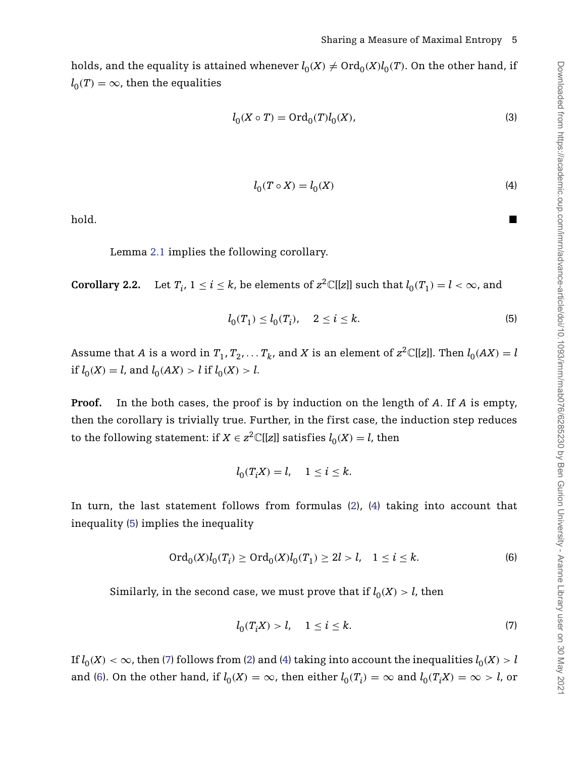holds, and the equality is attained whenever  $l_0(X) \neq \text{Ord}_0(X)l_0(T)$ . On the other hand, if  $l_0(T) = \infty$ , then the equalities

<span id="page-4-4"></span>
$$
l_0(X \circ T) = \text{Ord}_0(T)l_0(X),\tag{3}
$$

<span id="page-4-1"></span>
$$
l_0(T \circ X) = l_0(X) \tag{4}
$$

<span id="page-4-0"></span>hold.

Lemma [2.1](#page-3-0) implies the following corollary.

<span id="page-4-5"></span>**Corollary 2.2.** Let  $T_i$ ,  $1 \le i \le k$ , be elements of  $z^2 \mathbb{C}[[z]]$  such that  $l_0(T_1) = l < \infty$ , and

$$
l_0(T_1) \le l_0(T_i), \quad 2 \le i \le k. \tag{5}
$$

Assume that *A* is a word in  $T_1, T_2, \ldots, T_k$ , and *X* is an element of  $z^2 \mathbb{C}[[z]]$ . Then  $l_0(AX) = l$ if  $l_0(X) = l$ , and  $l_0(AX) > l$  if  $l_0(X) > l$ .

**Proof.** In the both cases, the proof is by induction on the length of *A*. If *A* is empty, then the corollary is trivially true. Further, in the first case, the induction step reduces to the following statement: if  $X \in \mathbb{Z}^2 \mathbb{C}[[z]]$  satisfies  $l_0(X) = l$ , then

<span id="page-4-3"></span>
$$
l_0(T_iX) = l, \quad 1 \le i \le k.
$$

In turn, the last statement follows from formulas [\(2\)](#page-3-1), [\(4\)](#page-4-0) taking into account that inequality [\(5\)](#page-4-1) implies the inequality

$$
\operatorname{Ord}_0(X)l_0(T_i) \ge \operatorname{Ord}_0(X)l_0(T_1) \ge 2l > l, \quad 1 \le i \le k. \tag{6}
$$

Similarly, in the second case, we must prove that if  $l_0(X) > l$ , then

<span id="page-4-2"></span>
$$
l_0(T_i X) > l, \quad 1 \le i \le k. \tag{7}
$$

If  $l_0(X) < \infty$ , then [\(7\)](#page-4-2) follows from [\(2\)](#page-3-1) and [\(4\)](#page-4-0) taking into account the inequalities  $l_0(X) > l$ and [\(6\)](#page-4-3). On the other hand, if  $l_0(X) = \infty$ , then either  $l_0(T_i) = \infty$  and  $l_0(T_iX) = \infty > l$ , or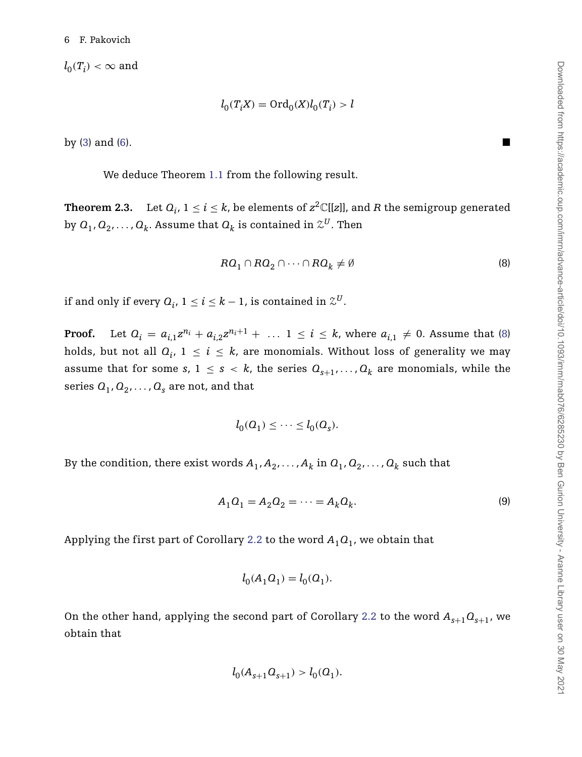$l_0(T_i) < \infty$  and

$$
l_0(T_iX)={\rm Ord}_0(X)l_0(T_i)>l
$$

by  $(3)$  and  $(6)$ .

We deduce Theorem [1.1](#page-2-2) from the following result.

<span id="page-5-1"></span>**Theorem 2.3.** Let  $Q_i$ ,  $1 \leq i \leq k$ , be elements of  $z^2\mathbb{C}[[z]]$ , and *R* the semigroup generated by  $Q_1, Q_2, \ldots, Q_k$ . Assume that  $Q_k$  is contained in  $\mathcal{Z}^U$ . Then

<span id="page-5-0"></span>
$$
R\mathcal{Q}_1 \cap R\mathcal{Q}_2 \cap \dots \cap R\mathcal{Q}_k \neq \emptyset \tag{8}
$$

if and only if every  $Q_i$ ,  $1 \le i \le k - 1$ , is contained in  $\mathcal{Z}^U$ .

**Proof.** Let  $Q_i = a_{i,1}z^{n_i} + a_{i,2}z^{n_i+1} + \ldots$   $1 \le i \le k$ , where  $a_{i,1} \ne 0$ . Assume that [\(8\)](#page-5-0) holds, but not all  $Q_i$ ,  $1 \le i \le k$ , are monomials. Without loss of generality we may assume that for some *s*,  $1 \leq s \leq k$ , the series  $Q_{s+1}, \ldots, Q_k$  are monomials, while the series  $Q_1, Q_2, \ldots, Q_s$  are not, and that

$$
l_0(Q_1) \leq \cdots \leq l_0(Q_s).
$$

By the condition, there exist words  $A_1, A_2, \ldots, A_k$  in  $Q_1, Q_2, \ldots, Q_k$  such that

$$
A_1 O_1 = A_2 O_2 = \dots = A_k O_k. \tag{9}
$$

Applying the first part of Corollary [2.2](#page-4-5) to the word  $A_1Q_1$ , we obtain that

$$
l_0(A_1O_1)=l_0(O_1).
$$

On the other hand, applying the second part of Corollary [2.2](#page-4-5) to the word  $A_{s+1}Q_{s+1}$ , we obtain that

$$
l_0(A_{s+1}Q_{s+1}) > l_0(Q_1).
$$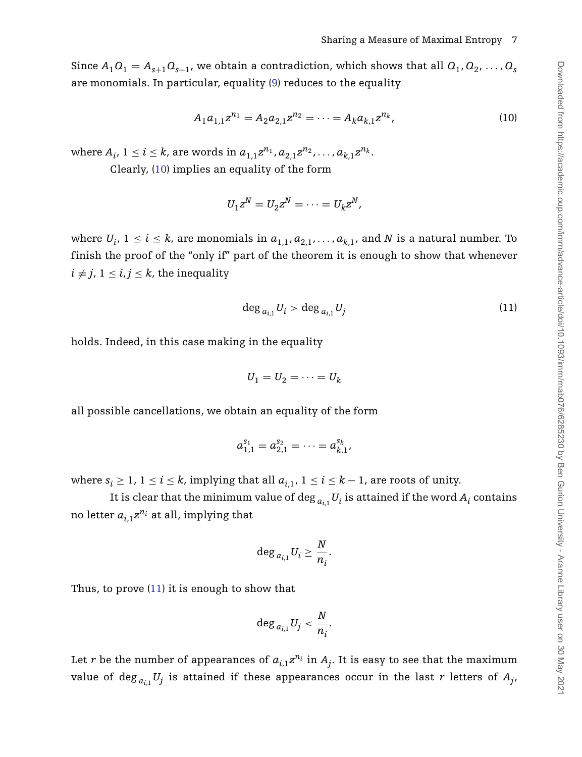Since  $A_1O_1 = A_{s+1}O_{s+1}$ , we obtain a contradiction, which shows that all  $O_1, O_2, \ldots, O_s$ are monomials. In particular, equality (9) reduces to the equality

$$
A_1 a_{1,1} z^{n_1} = A_2 a_{2,1} z^{n_2} = \dots = A_k a_{k,1} z^{n_k}, \tag{10}
$$

where  $A_i$ ,  $1 \le i \le k$ , are words in  $a_{1,1}z^{n_1}, a_{2,1}z^{n_2}, \ldots, a_{k,1}z^{n_k}$ .

Clearly, [\(10\)](#page-6-0) implies an equality of the form

<span id="page-6-0"></span>
$$
U_1z^N=U_2z^N=\cdots=U_kz^N,
$$

where  $U_i$ ,  $1 \le i \le k$ , are monomials in  $a_{1,1}, a_{2,1}, \ldots, a_{k,1}$ , and *N* is a natural number. To finish the proof of the "only if" part of the theorem it is enough to show that whenever  $i \neq j$ ,  $1 \leq i, j \leq k$ , the inequality

<span id="page-6-1"></span>
$$
\deg_{a_{i,1}} U_i > \deg_{a_{i,1}} U_j \tag{11}
$$

holds. Indeed, in this case making in the equality

$$
U_1 = U_2 = \cdots = U_k
$$

all possible cancellations, we obtain an equality of the form

$$
a_{1,1}^{s_1}=a_{2,1}^{s_2}=\cdots=a_{k,1}^{s_k},
$$

where  $s_i \geq 1$ ,  $1 \leq i \leq k$ , implying that all  $a_{i,1}$ ,  $1 \leq i \leq k-1$ , are roots of unity.

It is clear that the minimum value of  $\deg_{a_{i,1}} U_i$  is attained if the word  $A_i$  contains no letter  $a_{i,1}z^{n_i}$  at all, implying that

$$
\deg_{a_{i,1}}U_i\geq \frac{N}{n_i}.
$$

Thus, to prove [\(11\)](#page-6-1) it is enough to show that

$$
\deg_{a_{i,1}} U_j < \frac{N}{n_i}.
$$

Let *r* be the number of appearances of  $a_{i,1}z^{n_i}$  in  $A_i$ . It is easy to see that the maximum value of  $\deg_{a_{i,1}} U_j$  is attained if these appearances occur in the last  $r$  letters of  $A_{j},$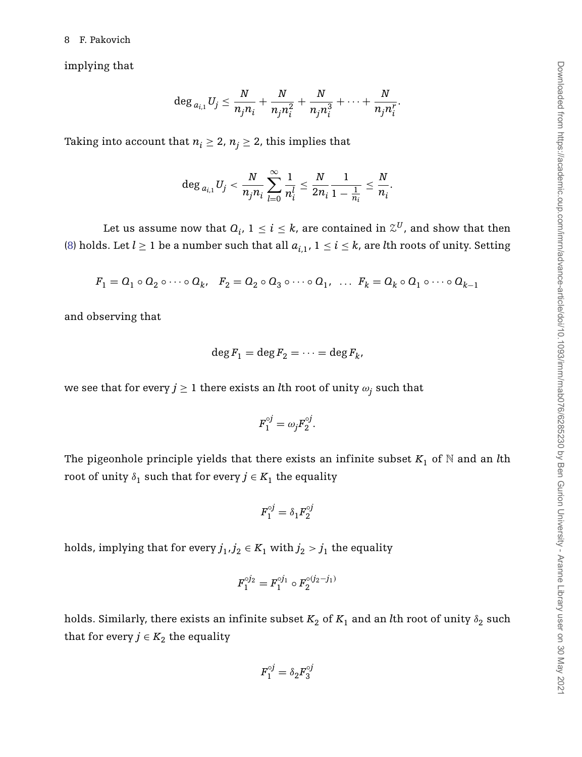implying that

$$
\deg_{a_{i,1}} U_j \leq \frac{N}{n_j n_i} + \frac{N}{n_j n_i^2} + \frac{N}{n_j n_i^3} + \cdots + \frac{N}{n_j n_i^r}.
$$

Taking into account that  $n_i \geq 2$ ,  $n_j \geq 2$ , this implies that

$$
\deg_{a_{i,1}} U_j < \frac{N}{n_jn_i}\sum_{l=0}^{\infty}\frac{1}{n_i^l} \leq \frac{N}{2n_i}\frac{1}{1-\frac{1}{n_i}} \leq \frac{N}{n_i}.
$$

Let us assume now that  $Q_i$ ,  $1 \leq i \leq k$ , are contained in  $\mathcal{Z}^U$ , and show that then [\(8\)](#page-5-0) holds. Let  $l \ge 1$  be a number such that all  $a_{i,1}$ ,  $1 \le i \le k$ , are *l*th roots of unity. Setting

$$
F_1 = O_1 \circ O_2 \circ \cdots \circ O_k, \quad F_2 = O_2 \circ O_3 \circ \cdots \circ O_1, \quad \dots \quad F_k = O_k \circ O_1 \circ \cdots \circ O_{k-1}
$$

and observing that

$$
\deg F_1 = \deg F_2 = \cdots = \deg F_k,
$$

we see that for every  $j \geq 1$  there exists an *l*th root of unity  $\omega_j$  such that

$$
F_1^{\circ j} = \omega_j F_2^{\circ j}.
$$

The pigeonhole principle yields that there exists an infinite subset  $K_1$  of  $N$  and an *l*th root of unity  $\delta_1$  such that for every  $j \in K_1$  the equality

$$
F_1^{\circ j}=\delta_1 F_2^{\circ j}
$$

holds, implying that for every  $j_1, j_2 \in K_1$  with  $j_2 > j_1$  the equality

$$
F_1^{\circ j_2} = F_1^{\circ j_1} \circ F_2^{\circ (j_2 - j_1)}
$$

holds. Similarly, there exists an infinite subset  $K_2$  of  $K_1$  and an *l*th root of unity  $\delta_2$  such that for every  $j \in K_2$  the equality

$$
F_1^{\circ j} = \delta_2 F_3^{\circ j}
$$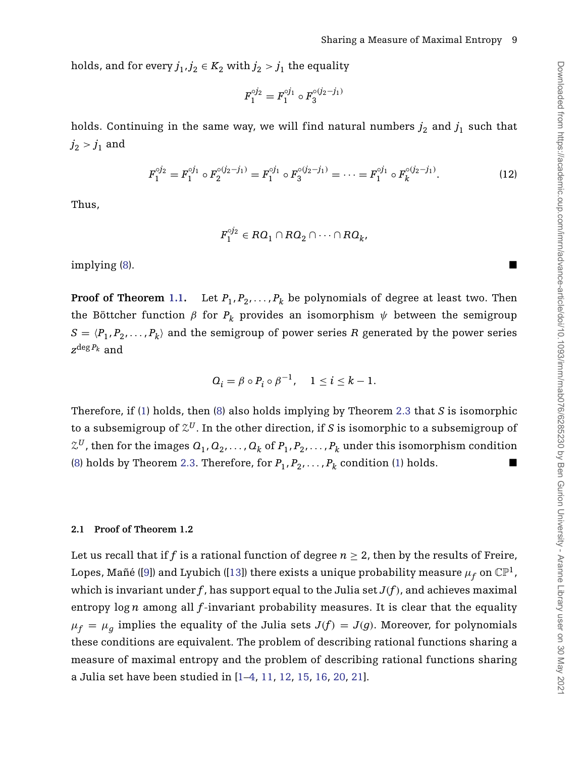holds, and for every  $j_1, j_2 \in K_2$  with  $j_2 > j_1$  the equality

$$
F_1^{\circ j_2} = F_1^{\circ j_1} \circ F_3^{\circ (j_2 - j_1)}
$$

holds. Continuing in the same way, we will find natural numbers  $j_2$  and  $j_1$  such that  $j_2 > j_1$  and

<span id="page-8-0"></span>
$$
F_1^{\circ j_2} = F_1^{\circ j_1} \circ F_2^{\circ (j_2 - j_1)} = F_1^{\circ j_1} \circ F_3^{\circ (j_2 - j_1)} = \dots = F_1^{\circ j_1} \circ F_k^{\circ (j_2 - j_1)}.
$$
 (12)

Thus,

$$
F_1^{\circ j_2} \in R\mathcal{Q}_1 \cap R\mathcal{Q}_2 \cap \cdots \cap R\mathcal{Q}_k,
$$

implying [\(8\)](#page-5-0).

**Proof of Theorem [1.1.](#page-2-2)** Let  $P_1, P_2, \ldots, P_k$  be polynomials of degree at least two. Then the Böttcher function  $\beta$  for  $P_k$  provides an isomorphism  $\psi$  between the semigroup  $S = \langle P_1, P_2, \ldots, P_k \rangle$  and the semigroup of power series *R* generated by the power series *z*deg *Pk* and

$$
Q_i = \beta \circ P_i \circ \beta^{-1}, \quad 1 \leq i \leq k-1.
$$

Therefore, if [\(1\)](#page-2-0) holds, then [\(8\)](#page-5-0) also holds implying by Theorem [2.3](#page-5-1) that *S* is isomorphic to a subsemigroup of  $\mathcal{Z}^{U}$ . In the other direction, if *S* is isomorphic to a subsemigroup of  $Z^U$ , then for the images  $Q_1, Q_2, \ldots, Q_k$  of  $P_1, P_2, \ldots, P_k$  under this isomorphism condition [\(8\)](#page-5-0) holds by Theorem [2.3.](#page-5-1) Therefore, for  $P_1, P_2, \ldots, P_k$  condition [\(1\)](#page-2-0) holds.

#### **2.1 Proof of Theorem 1.2**

Let us recall that if *f* is a rational function of degree  $n \geq 2$ , then by the results of Freire, Lopes, Mañé ([\[9\]](#page-11-10)) and Lyubich ([\[13\]](#page-11-11)) there exists a unique probability measure  $\mu_f$  on  $\mathbb{CP}^1$ , which is invariant under  $f$ , has support equal to the Julia set  $J(f)$ , and achieves maximal entropy log *n* among all *f*-invariant probability measures. It is clear that the equality  $\mu_f = \mu_g$  implies the equality of the Julia sets  $J(f) = J(g)$ . Moreover, for polynomials these conditions are equivalent. The problem of describing rational functions sharing a measure of maximal entropy and the problem of describing rational functions sharing a Julia set have been studied in [\[1](#page-10-1)[–4,](#page-10-2) [11,](#page-11-3) [12,](#page-11-4) [15,](#page-11-12) [16,](#page-11-13) [20,](#page-11-9) [21\]](#page-11-14).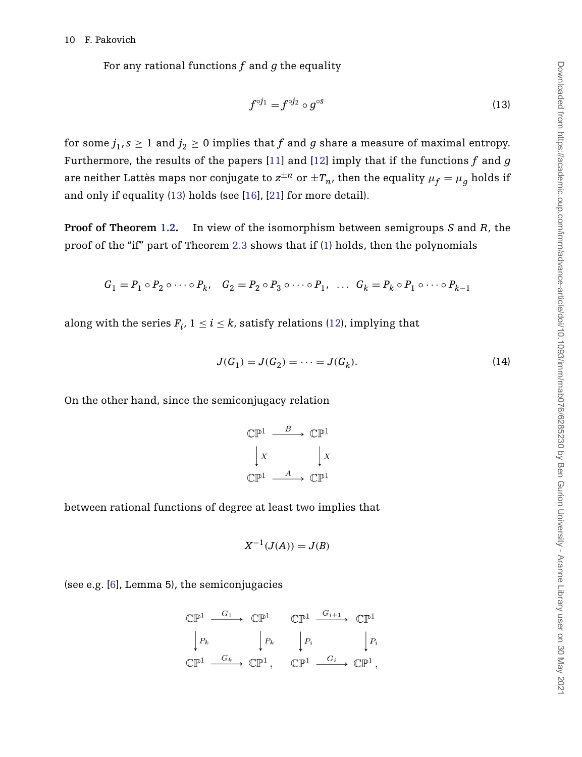For any rational functions *f* and *g* the equality

<span id="page-9-0"></span>
$$
f^{\circ j_1} = f^{\circ j_2} \circ g^{\circ s} \tag{13}
$$

for some  $j_1$ ,  $s \ge 1$  and  $j_2 \ge 0$  implies that f and g share a measure of maximal entropy. Furthermore, the results of the papers [\[11\]](#page-11-3) and [\[12\]](#page-11-4) imply that if the functions *f* and *g* are neither Lattès maps nor conjugate to  $z^{\pm n}$  or  $\pm T_n$ , then the equality  $\mu_f = \mu_g$  holds if and only if equality [\(13\)](#page-9-0) holds (see [\[16\]](#page-11-13), [\[21\]](#page-11-14) for more detail).

**Proof of Theorem [1.2.](#page-2-1)** In view of the isomorphism between semigroups *S* and *R*, the proof of the "if" part of Theorem [2.3](#page-2-2) shows that if [\(1\)](#page-2-0) holds, then the polynomials

$$
G_1 = P_1 \circ P_2 \circ \cdots \circ P_k, \quad G_2 = P_2 \circ P_3 \circ \cdots \circ P_1, \quad \dots \quad G_k = P_k \circ P_1 \circ \cdots \circ P_{k-1}
$$

along with the series  $F_i$ ,  $1 \le i \le k$ , satisfy relations [\(12\)](#page-8-0), implying that

$$
J(G_1) = J(G_2) = \dots = J(G_k). \tag{14}
$$

On the other hand, since the semiconjugacy relation

<span id="page-9-1"></span>
$$
\begin{array}{ccc}\n\mathbb{CP}^1 & \xrightarrow{B} & \mathbb{CP}^1 \\
\downarrow x & & \downarrow x \\
\mathbb{CP}^1 & \xrightarrow{A} & \mathbb{CP}^1\n\end{array}
$$

between rational functions of degree at least two implies that

$$
X^{-1}(J(A)) = J(B)
$$

(see e.g. [\[6\]](#page-10-3), Lemma 5), the semiconjugacies

$$
\begin{array}{ccc}\n\mathbb{CP}^1 & \xrightarrow{G_1} & \mathbb{CP}^1 & \xrightarrow{G_{\mathbb{P}^1}} & \mathbb{CP}^1 \\
\downarrow P_k & & \downarrow P_k & & \downarrow P_i \\
\mathbb{CP}^1 & \xrightarrow{G_k} & \mathbb{CP}^1, & \mathbb{CP}^1 & \xrightarrow{G_i} & \mathbb{CP}^1,\n\end{array}
$$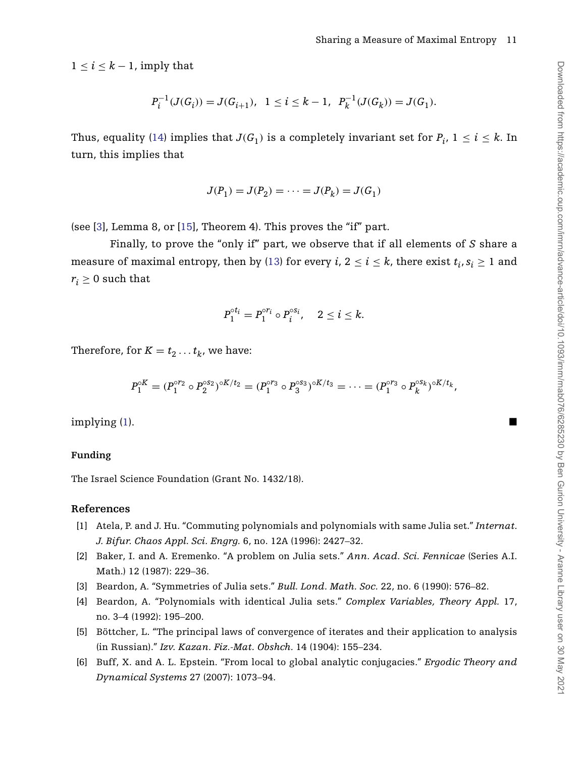$1 \leq i \leq k-1$ , imply that

$$
P_i^{-1}(J(G_i))=J(G_{i+1}),\ \ 1\leq i\leq k-1,\ \ P_k^{-1}(J(G_k))=J(G_1).
$$

Thus, equality [\(14\)](#page-9-1) implies that  $J(G_1)$  is a completely invariant set for  $P_i$ ,  $1 \le i \le k$ . In turn, this implies that

$$
J(P_1) = J(P_2) = \dots = J(P_k) = J(G_1)
$$

(see [\[3\]](#page-10-4), Lemma 8, or [\[15\]](#page-11-12), Theorem 4). This proves the "if" part.

Finally, to prove the "only if" part, we observe that if all elements of *S* share a measure of maximal entropy, then by [\(13\)](#page-9-0) for every *i*,  $2 \le i \le k$ , there exist  $t_i, s_i \ge 1$  and  $r_i \geq 0$  such that

$$
P_1^{\circ t_i} = P_1^{\circ r_i} \circ P_i^{\circ s_i}, \quad 2 \leq i \leq k.
$$

Therefore, for  $K = t_2 \ldots t_k$ , we have:

$$
P_1^{\circ K} = (P_1^{\circ r_2} \circ P_2^{\circ s_2})^{\circ K/t_2} = (P_1^{\circ r_3} \circ P_3^{\circ s_3})^{\circ K/t_3} = \cdots = (P_1^{\circ r_3} \circ P_k^{\circ s_k})^{\circ K/t_k},
$$

 $\mathbf{implying}\left(1\right).$ 

### **Funding**

The Israel Science Foundation (Grant No. 1432/18).

### **References**

- <span id="page-10-1"></span>[1] Atela, P. and J. Hu. "Commuting polynomials and polynomials with same Julia set." *Internat. J. Bifur. Chaos Appl. Sci. Engrg.* 6, no. 12A (1996): 2427–32.
- [2] Baker, I. and A. Eremenko. "A problem on Julia sets." *Ann. Acad. Sci. Fennicae* (Series A.I. Math.) 12 (1987): 229–36.
- <span id="page-10-4"></span>[3] Beardon, A. "Symmetries of Julia sets." *Bull. Lond. Math. Soc.* 22, no. 6 (1990): 576–82.
- <span id="page-10-2"></span>[4] Beardon, A. "Polynomials with identical Julia sets." *Complex Variables, Theory Appl.* 17, no. 3–4 (1992): 195–200.
- <span id="page-10-0"></span>[5] Böttcher, L. "The principal laws of convergence of iterates and their application to analysis (in Russian)." *Izv. Kazan. Fiz.-Mat. Obshch.* 14 (1904): 155–234.
- <span id="page-10-3"></span>[6] Buff, X. and A. L. Epstein. "From local to global analytic conjugacies." *Ergodic Theory and Dynamical Systems* 27 (2007): 1073–94.